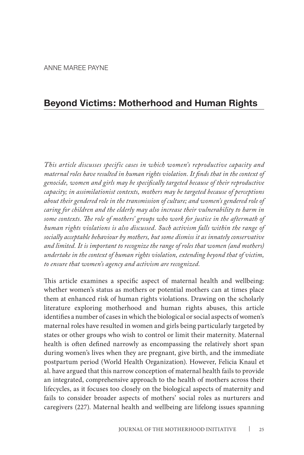# **Beyond Victims: Motherhood and Human Rights**

*This article discusses specific cases in which women's reproductive capacity and maternal roles have resulted in human rights violation. It finds that in the context of genocide, women and girls may be specifically targeted because of their reproductive capacity; in assimilationist contexts, mothers may be targeted because of perceptions about their gendered role in the transmission of culture; and women's gendered role of caring for children and the elderly may also increase their vulnerability to harm in some contexts. The role of mothers' groups who work for justice in the aftermath of human rights violations is also discussed. Such activism falls within the range of socially acceptable behaviour by mothers, but some dismiss it as innately conservative and limited. It is important to recognize the range of roles that women (and mothers) undertake in the context of human rights violation, extending beyond that of victim, to ensure that women's agency and activism are recognized.*

This article examines a specific aspect of maternal health and wellbeing: whether women's status as mothers or potential mothers can at times place them at enhanced risk of human rights violations. Drawing on the scholarly literature exploring motherhood and human rights abuses, this article identifies a number of cases in which the biological or social aspects of women's maternal roles have resulted in women and girls being particularly targeted by states or other groups who wish to control or limit their maternity. Maternal health is often defined narrowly as encompassing the relatively short span during women's lives when they are pregnant, give birth, and the immediate postpartum period (World Health Organization). However, Felicia Knaul et al. have argued that this narrow conception of maternal health fails to provide an integrated, comprehensive approach to the health of mothers across their lifecycles, as it focuses too closely on the biological aspects of maternity and fails to consider broader aspects of mothers' social roles as nurturers and caregivers (227). Maternal health and wellbeing are lifelong issues spanning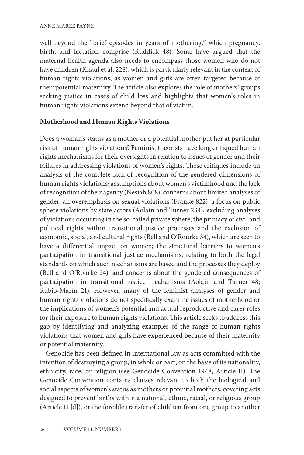well beyond the "brief episodes in years of mothering," which pregnancy, birth, and lactation comprise (Ruddick 48). Some have argued that the maternal health agenda also needs to encompass those women who do not have children (Knaul et al. 228), which is particularly relevant in the context of human rights violations, as women and girls are often targeted because of their potential maternity. The article also explores the role of mothers' groups seeking justice in cases of child loss and highlights that women's roles in human rights violations extend beyond that of victim.

## **Motherhood and Human Rights Violations**

Does a woman's status as a mother or a potential mother put her at particular risk of human rights violations? Feminist theorists have long critiqued human rights mechanisms for their oversights in relation to issues of gender and their failures in addressing violations of women's rights. These critiques include an analysis of the complete lack of recognition of the gendered dimensions of human rights violations; assumptions about women's victimhood and the lack of recognition of their agency (Nesiah 808); concerns about limited analyses of gender; an overemphasis on sexual violations (Franke 822); a focus on public sphere violations by state actors (Aolain and Turner 234), excluding analyses of violations occurring in the so-called private sphere; the primacy of civil and political rights within transitional justice processes and the exclusion of economic, social, and cultural rights (Bell and O'Rourke 34), which are seen to have a differential impact on women; the structural barriers to women's participation in transitional justice mechanisms, relating to both the legal standards on which such mechanisms are based and the processes they deploy (Bell and O'Rourke 24); and concerns about the gendered consequences of participation in transitional justice mechanisms (Aolain and Turner 48; Rubio-Marín 21). However, many of the feminist analyses of gender and human rights violations do not specifically examine issues of motherhood or the implications of women's potential and actual reproductive and carer roles for their exposure to human rights violations. This article seeks to address this gap by identifying and analyzing examples of the range of human rights violations that women and girls have experienced because of their maternity or potential maternity.

Genocide has been defined in international law as acts committed with the intention of destroying a group, in whole or part, on the basis of its nationality, ethnicity, race, or religion (see Genocide Convention 1948, Article II). The Genocide Convention contains clauses relevant to both the biological and social aspects of women's status as mothers or potential mothers, covering acts designed to prevent births within a national, ethnic, racial, or religious group (Article II [d]), or the forcible transfer of children from one group to another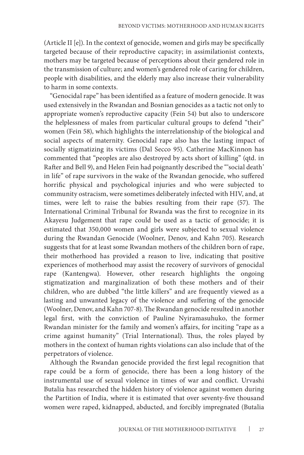(Article II [e]). In the context of genocide, women and girls may be specifically targeted because of their reproductive capacity; in assimilationist contexts, mothers may be targeted because of perceptions about their gendered role in the transmission of culture; and women's gendered role of caring for children, people with disabilities, and the elderly may also increase their vulnerability to harm in some contexts.

"Genocidal rape" has been identified as a feature of modern genocide. It was used extensively in the Rwandan and Bosnian genocides as a tactic not only to appropriate women's reproductive capacity (Fein 54) but also to underscore the helplessness of males from particular cultural groups to defend "their" women (Fein 58), which highlights the interrelationship of the biological and social aspects of maternity. Genocidal rape also has the lasting impact of socially stigmatizing its victims (Dal Secco 95). Catherine MacKinnon has commented that "peoples are also destroyed by acts short of killing" (qtd. in Rafter and Bell 9), and Helen Fein had poignantly described the "'social death' in life" of rape survivors in the wake of the Rwandan genocide, who suffered horrific physical and psychological injuries and who were subjected to community ostracism, were sometimes deliberately infected with HIV, and, at times, were left to raise the babies resulting from their rape (57). The International Criminal Tribunal for Rwanda was the first to recognize in its Akayesu Judgement that rape could be used as a tactic of genocide; it is estimated that 350,000 women and girls were subjected to sexual violence during the Rwandan Genocide (Woolner, Denov, and Kahn 705). Research suggests that for at least some Rwandan mothers of the children born of rape, their motherhood has provided a reason to live, indicating that positive experiences of motherhood may assist the recovery of survivors of genocidal rape (Kantengwa). However, other research highlights the ongoing stigmatization and marginalization of both these mothers and of their children, who are dubbed "the little killers" and are frequently viewed as a lasting and unwanted legacy of the violence and suffering of the genocide (Woolner, Denov, and Kahn 707-8). The Rwandan genocide resulted in another legal first, with the conviction of Pauline Nyiramasuhuko, the former Rwandan minister for the family and women's affairs, for inciting "rape as a crime against humanity" (Trial International). Thus, the roles played by mothers in the context of human rights violations can also include that of the perpetrators of violence.

Although the Rwandan genocide provided the first legal recognition that rape could be a form of genocide, there has been a long history of the instrumental use of sexual violence in times of war and conflict. Urvashi Butalia has researched the hidden history of violence against women during the Partition of India, where it is estimated that over seventy-five thousand women were raped, kidnapped, abducted, and forcibly impregnated (Butalia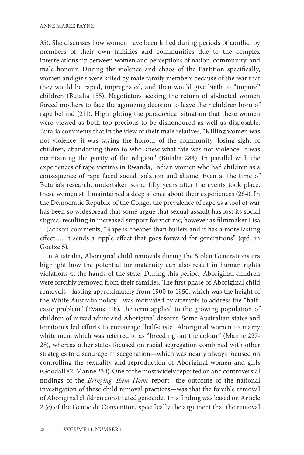35). She discusses how women have been killed during periods of conflict by members of their own families and communities due to the complex interrelationship between women and perceptions of nation, community, and male honour. During the violence and chaos of the Partition specifically, women and girls were killed by male family members because of the fear that they would be raped, impregnated, and then would give birth to "impure" children (Butalia 155). Negotiators seeking the return of abducted women forced mothers to face the agonizing decision to leave their children born of rape behind (211). Highlighting the paradoxical situation that these women were viewed as both too precious to be dishonoured as well as disposable, Butalia comments that in the view of their male relatives, "Killing women was not violence, it was saving the honour of the community; losing sight of children, abandoning them to who knew what fate was not violence, it was maintaining the purity of the religion" (Butalia 284). In parallel with the experiences of rape victims in Rwanda, Indian women who had children as a consequence of rape faced social isolation and shame. Even at the time of Butalia's research, undertaken some fifty years after the events took place, these women still maintained a deep silence about their experiences (284). In the Democratic Republic of the Congo, the prevalence of rape as a tool of war has been so widespread that some argue that sexual assault has lost its social stigma, resulting in increased support for victims; however as filmmaker Lisa F. Jackson comments, "Rape is cheaper than bullets and it has a more lasting effect…. It sends a ripple effect that goes forward for generations" (qtd. in Goetze 5).

In Australia, Aboriginal child removals during the Stolen Generations era highlight how the potential for maternity can also result in human rights violations at the hands of the state. During this period, Aboriginal children were forcibly removed from their families. The first phase of Aboriginal child removals—lasting approximately from 1900 to 1950, which was the height of the White Australia policy—was motivated by attempts to address the "halfcaste problem" (Evans 118), the term applied to the growing population of children of mixed white and Aboriginal descent. Some Australian states and territories led efforts to encourage "half-caste" Aboriginal women to marry white men, which was referred to as "breeding out the colour" (Manne 227- 28), whereas other states focused on racial segregation combined with other strategies to discourage miscegenation—which was nearly always focused on controlling the sexuality and reproduction of Aboriginal women and girls (Goodall 82; Manne 234). One of the most widely reported on and controversial findings of the *Bringing Them Home* report—the outcome of the national investigation of these child removal practices—was that the forcible removal of Aboriginal children constituted genocide. This finding was based on Article 2 (e) of the Genocide Convention, specifically the argument that the removal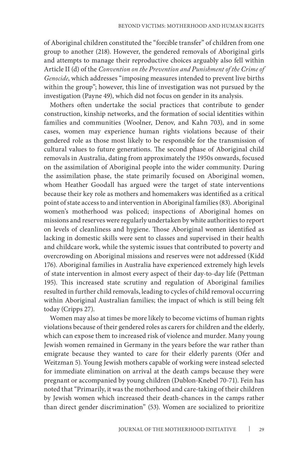of Aboriginal children constituted the "forcible transfer" of children from one group to another (218). However, the gendered removals of Aboriginal girls and attempts to manage their reproductive choices arguably also fell within Article II (d) of the *Convention on the Prevention and Punishment of the Crime of Genocide*, which addresses "imposing measures intended to prevent live births within the group"; however, this line of investigation was not pursued by the investigation (Payne 49), which did not focus on gender in its analysis.

Mothers often undertake the social practices that contribute to gender construction, kinship networks, and the formation of social identities within families and communities (Woolner, Denov, and Kahn 703), and in some cases, women may experience human rights violations because of their gendered role as those most likely to be responsible for the transmission of cultural values to future generations. The second phase of Aboriginal child removals in Australia, dating from approximately the 1950s onwards, focused on the assimilation of Aboriginal people into the wider community. During the assimilation phase, the state primarily focused on Aboriginal women, whom Heather Goodall has argued were the target of state interventions because their key role as mothers and homemakers was identified as a critical point of state access to and intervention in Aboriginal families (83). Aboriginal women's motherhood was policed; inspections of Aboriginal homes on missions and reserves were regularly undertaken by white authorities to report on levels of cleanliness and hygiene. Those Aboriginal women identified as lacking in domestic skills were sent to classes and supervised in their health and childcare work, while the systemic issues that contributed to poverty and overcrowding on Aboriginal missions and reserves were not addressed (Kidd 176). Aboriginal families in Australia have experienced extremely high levels of state intervention in almost every aspect of their day-to-day life (Pettman 195). This increased state scrutiny and regulation of Aboriginal families resulted in further child removals, leading to cycles of child removal occurring within Aboriginal Australian families; the impact of which is still being felt today (Cripps 27).

Women may also at times be more likely to become victims of human rights violations because of their gendered roles as carers for children and the elderly, which can expose them to increased risk of violence and murder. Many young Jewish women remained in Germany in the years before the war rather than emigrate because they wanted to care for their elderly parents (Ofer and Weitzman 5). Young Jewish mothers capable of working were instead selected for immediate elimination on arrival at the death camps because they were pregnant or accompanied by young children (Dublon-Knebel 70-71). Fein has noted that "Primarily, it was the motherhood and care-taking of their children by Jewish women which increased their death-chances in the camps rather than direct gender discrimination" (53). Women are socialized to prioritize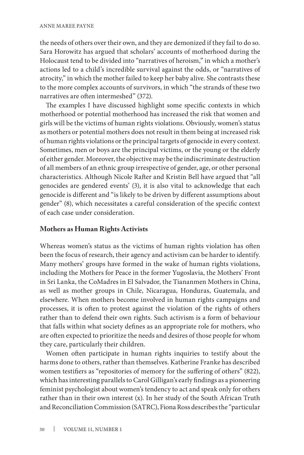the needs of others over their own, and they are demonized if they fail to do so. Sara Horowitz has argued that scholars' accounts of motherhood during the Holocaust tend to be divided into "narratives of heroism," in which a mother's actions led to a child's incredible survival against the odds, or "narratives of atrocity," in which the mother failed to keep her baby alive. She contrasts these to the more complex accounts of survivors, in which "the strands of these two narratives are often intermeshed" (372).

The examples I have discussed highlight some specific contexts in which motherhood or potential motherhood has increased the risk that women and girls will be the victims of human rights violations. Obviously, women's status as mothers or potential mothers does not result in them being at increased risk of human rights violations or the principal targets of genocide in every context. Sometimes, men or boys are the principal victims, or the young or the elderly of either gender. Moreover, the objective may be the indiscriminate destruction of all members of an ethnic group irrespective of gender, age, or other personal characteristics. Although Nicole Rafter and Kristin Bell have argued that "all genocides are gendered events' (3), it is also vital to acknowledge that each genocide is different and "is likely to be driven by different assumptions about gender" (8), which necessitates a careful consideration of the specific context of each case under consideration.

# **Mothers as Human Rights Activists**

Whereas women's status as the victims of human rights violation has often been the focus of research, their agency and activism can be harder to identify. Many mothers' groups have formed in the wake of human rights violations, including the Mothers for Peace in the former Yugoslavia, the Mothers' Front in Sri Lanka, the CoMadres in El Salvador, the Tiananmen Mothers in China, as well as mother groups in Chile, Nicaragua, Honduras, Guatemala, and elsewhere. When mothers become involved in human rights campaigns and processes, it is often to protest against the violation of the rights of others rather than to defend their own rights. Such activism is a form of behaviour that falls within what society defines as an appropriate role for mothers, who are often expected to prioritize the needs and desires of those people for whom they care, particularly their children.

Women often participate in human rights inquiries to testify about the harms done to others, rather than themselves. Katherine Franke has described women testifiers as "repositories of memory for the suffering of others" (822), which has interesting parallels to Carol Gilligan's early findings as a pioneering feminist psychologist about women's tendency to act and speak only for others rather than in their own interest (x). In her study of the South African Truth and Reconciliation Commission (SATRC), Fiona Ross describes the "particular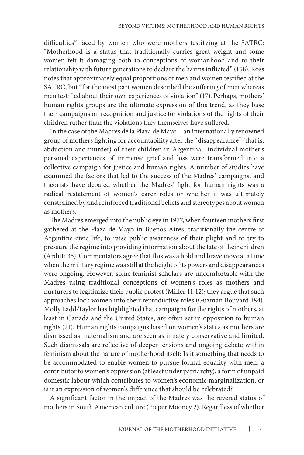difficulties" faced by women who were mothers testifying at the SATRC: "Motherhood is a status that traditionally carries great weight and some women felt it damaging both to conceptions of womanhood and to their relationship with future generations to declare the harms inflicted" (158). Ross notes that approximately equal proportions of men and women testified at the SATRC, but "for the most part women described the suffering of men whereas men testified about their own experiences of violation" (17). Perhaps, mothers' human rights groups are the ultimate expression of this trend, as they base their campaigns on recognition and justice for violations of the rights of their children rather than the violations they themselves have suffered.

In the case of the Madres de la Plaza de Mayo—an internationally renowned group of mothers fighting for accountability after the "disappearance" (that is, abduction and murder) of their children in Argentina—individual mother's personal experiences of immense grief and loss were transformed into a collective campaign for justice and human rights. A number of studies have examined the factors that led to the success of the Madres' campaigns, and theorists have debated whether the Madres' fight for human rights was a radical restatement of women's carer roles or whether it was ultimately constrained by and reinforced traditional beliefs and stereotypes about women as mothers.

The Madres emerged into the public eye in 1977, when fourteen mothers first gathered at the Plaza de Mayo in Buenos Aires, traditionally the centre of Argentine civic life, to raise public awareness of their plight and to try to pressure the regime into providing information about the fate of their children (Arditti 35). Commentators agree that this was a bold and brave move at a time when the military regime was still at the height of its powers and disappearances were ongoing. However, some feminist scholars are uncomfortable with the Madres using traditional conceptions of women's roles as mothers and nurturers to legitimize their public protest (Miller 11-12); they argue that such approaches lock women into their reproductive roles (Guzman Bouvard 184). Molly Ladd-Taylor has highlighted that campaigns for the rights of mothers, at least in Canada and the United States, are often set in opposition to human rights (21). Human rights campaigns based on women's status as mothers are dismissed as maternalism and are seen as innately conservative and limited. Such dismissals are reflective of deeper tensions and ongoing debate within feminism about the nature of motherhood itself: Is it something that needs to be accommodated to enable women to pursue formal equality with men, a contributor to women's oppression (at least under patriarchy), a form of unpaid domestic labour which contributes to women's economic marginalization, or is it an expression of women's difference that should be celebrated?

A significant factor in the impact of the Madres was the revered status of mothers in South American culture (Pieper Mooney 2). Regardless of whether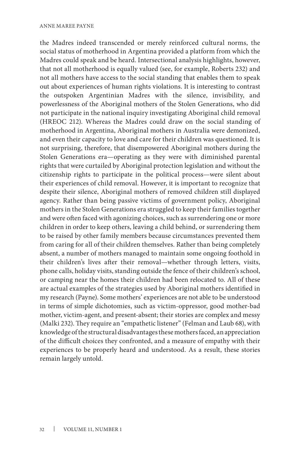the Madres indeed transcended or merely reinforced cultural norms, the social status of motherhood in Argentina provided a platform from which the Madres could speak and be heard. Intersectional analysis highlights, however, that not all motherhood is equally valued (see, for example, Roberts 232) and not all mothers have access to the social standing that enables them to speak out about experiences of human rights violations. It is interesting to contrast the outspoken Argentinian Madres with the silence, invisibility, and powerlessness of the Aboriginal mothers of the Stolen Generations, who did not participate in the national inquiry investigating Aboriginal child removal (HREOC 212). Whereas the Madres could draw on the social standing of motherhood in Argentina, Aboriginal mothers in Australia were demonized, and even their capacity to love and care for their children was questioned. It is not surprising, therefore, that disempowered Aboriginal mothers during the Stolen Generations era—operating as they were with diminished parental rights that were curtailed by Aboriginal protection legislation and without the citizenship rights to participate in the political process—were silent about their experiences of child removal. However, it is important to recognize that despite their silence, Aboriginal mothers of removed children still displayed agency. Rather than being passive victims of government policy, Aboriginal mothers in the Stolen Generations era struggled to keep their families together and were often faced with agonizing choices, such as surrendering one or more children in order to keep others, leaving a child behind, or surrendering them to be raised by other family members because circumstances prevented them from caring for all of their children themselves. Rather than being completely absent, a number of mothers managed to maintain some ongoing foothold in their children's lives after their removal—whether through letters, visits, phone calls, holiday visits, standing outside the fence of their children's school, or camping near the homes their children had been relocated to. All of these are actual examples of the strategies used by Aboriginal mothers identified in my research (Payne). Some mothers' experiences are not able to be understood in terms of simple dichotomies, such as victim-oppressor, good mother-bad mother, victim-agent, and present-absent; their stories are complex and messy (Malki 232). They require an "empathetic listener" (Felman and Laub 68), with knowledge of the structural disadvantages these mothers faced, an appreciation of the difficult choices they confronted, and a measure of empathy with their experiences to be properly heard and understood. As a result, these stories remain largely untold.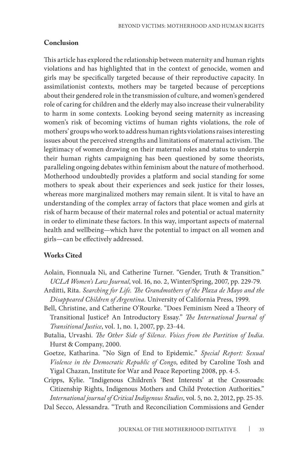#### **Conclusion**

This article has explored the relationship between maternity and human rights violations and has highlighted that in the context of genocide, women and girls may be specifically targeted because of their reproductive capacity. In assimilationist contexts, mothers may be targeted because of perceptions about their gendered role in the transmission of culture, and women's gendered role of caring for children and the elderly may also increase their vulnerability to harm in some contexts. Looking beyond seeing maternity as increasing women's risk of becoming victims of human rights violations, the role of mothers' groups who work to address human rights violations raises interesting issues about the perceived strengths and limitations of maternal activism. The legitimacy of women drawing on their maternal roles and status to underpin their human rights campaigning has been questioned by some theorists, paralleling ongoing debates within feminism about the nature of motherhood. Motherhood undoubtedly provides a platform and social standing for some mothers to speak about their experiences and seek justice for their losses, whereas more marginalized mothers may remain silent. It is vital to have an understanding of the complex array of factors that place women and girls at risk of harm because of their maternal roles and potential or actual maternity in order to eliminate these factors. In this way, important aspects of maternal health and wellbeing—which have the potential to impact on all women and girls—can be effectively addressed.

## **Works Cited**

- Aolain, Fionnuala Ni, and Catherine Turner. "Gender, Truth & Transition." *UCLA Women's Law Journal*, vol. 16, no. 2, Winter/Spring, 2007, pp. 229-79.
- Arditti, Rita. *Searching for Life. The Grandmothers of the Plaza de Mayo and the Disappeared Children of Argentina*. University of California Press, 1999.
- Bell, Christine, and Catherine O'Rourke. "Does Feminism Need a Theory of Transitional Justice? An Introductory Essay." *The International Journal of Transitional Justice*, vol. 1, no. 1, 2007, pp. 23-44.
- Butalia, Urvashi. *The Other Side of Silence. Voices from the Partition of India*. Hurst & Company, 2000.
- Goetze, Katharina. "No Sign of End to Epidemic." *Special Report: Sexual Violence in the Democratic Republic of Congo*, edited by Caroline Tosh and Yigal Chazan, Institute for War and Peace Reporting 2008, pp. 4-5.

Cripps, Kylie. "Indigenous Children's 'Best Interests' at the Crossroads: Citizenship Rights, Indigenous Mothers and Child Protection Authorities." *International journal of Critical Indigenous Studies*, vol. 5, no. 2, 2012, pp. 25-35.

Dal Secco, Alessandra. "Truth and Reconciliation Commissions and Gender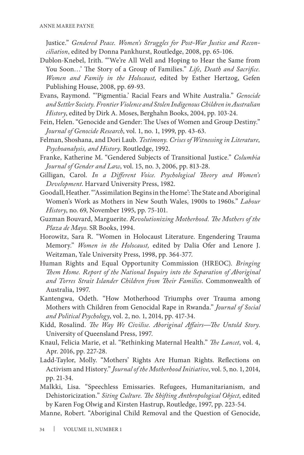Justice." *Gendered Peace. Women's Struggles for Post-War Justice and Reconciliation*, edited by Donna Pankhurst, Routledge, 2008, pp. 65-106.

- Dublon-Knebel, Irith. "'We're All Well and Hoping to Hear the Same from You Soon…' The Story of a Group of Families." *Life, Death and Sacrifice. Women and Family in the Holocaust*, edited by Esther Hertzog, Gefen Publishing House, 2008, pp. 69-93.
- Evans, Raymond. "'Pigmentia.' Racial Fears and White Australia." *Genocide and Settler Society. Frontier Violence and Stolen Indigenous Children in Australian History*, edited by Dirk A. Moses, Berghahn Books, 2004, pp. 103-24.
- Fein, Helen. "Genocide and Gender: The Uses of Women and Group Destiny." *Journal of Genocide Research*, vol. 1, no. 1, 1999, pp. 43-63.
- Felman, Shoshana, and Dori Laub. *Testimony. Crises of Witnessing in Literature, Psychoanalysis, and History*. Routledge, 1992.
- Franke, Katherine M. "Gendered Subjects of Transitional Justice." *Columbia Journal of Gender and Law*, vol. 15, no. 3, 2006, pp. 813-28.
- Gilligan, Carol. *In a Different Voice. Psychological Theory and Women's Development*. Harvard University Press, 1982.
- Goodall, Heather. "'Assimilation Begins in the Home': The State and Aboriginal Women's Work as Mothers in New South Wales, 1900s to 1960s." *Labour History*, no. 69, November 1995, pp. 75-101.
- Guzman Bouvard, Marguerite. *Revolutionizing Motherhood. The Mothers of the Plaza de Mayo*. SR Books, 1994.
- Horowitz, Sara R. "Women in Holocaust Literature. Engendering Trauma Memory." *Women in the Holocaust,* edited by Dalia Ofer and Lenore J. Weitzman, Yale University Press, 1998, pp. 364-377.
- Human Rights and Equal Opportunity Commission (HREOC). *Bringing Them Home. Report of the National Inquiry into the Separation of Aboriginal and Torres Strait Islander Children from Their Families*. Commonwealth of Australia, 1997.
- Kantengwa, Odeth. "How Motherhood Triumphs over Trauma among Mothers with Children from Genocidal Rape in Rwanda." *Journal of Social and Political Psychology*, vol. 2, no. 1, 2014, pp. 417-34.
- Kidd, Rosalind. *The Way We Civilise. Aboriginal Affairs—The Untold Story*. University of Queensland Press, 1997.
- Knaul, Felicia Marie, et al. "Rethinking Maternal Health." *The Lancet*, vol. 4, Apr. 2016, pp. 227-28.
- Ladd-Taylor, Molly. "Mothers' Rights Are Human Rights. Reflections on Activism and History." *Journal of the Motherhood Initiative*, vol. 5, no. 1, 2014, pp. 21-34.
- Malkki, Lisa. "Speechless Emissaries. Refugees, Humanitarianism, and Dehistoricization." *Siting Culture. The Shifting Anthropological Object*, edited by Karen Fog Olwig and Kirsten Hastrup, Routledge, 1997, pp. 223-54.

Manne, Robert. "Aboriginal Child Removal and the Question of Genocide,